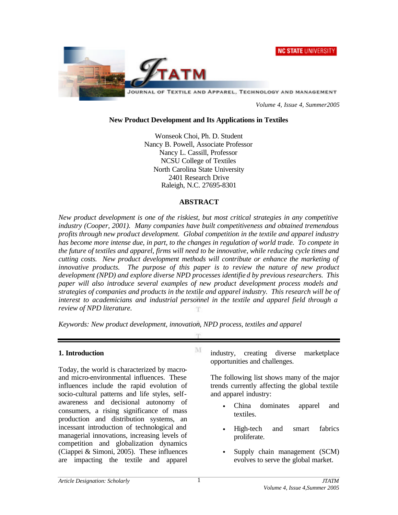**NC STATE UNIVERSITY** 



*Volume 4, Issue 4, Summer2005*

#### **New Product Development and Its Applications in Textiles**

Wonseok Choi, Ph. D. Student Nancy B. Powell, Associate Professor Nancy L. Cassill, Professor NCSU College of Textiles North Carolina State University 2401 Research Drive Raleigh, N.C. 27695-8301

#### **ABSTRACT**

*New product development is one of the riskiest, but most critical strategies in any competitive industry (Cooper, 2001). Many companies have built competitiveness and obtained tremendous profits through new product development. Global competition in the textile and apparel industry has become more intense due, in part, to the changes in regulation of world trade. To compete in the future of textiles and apparel, firms will need to be innovative, while reducing cycle times and cutting costs. New product development methods will contribute or enhance the marketing of innovative products. The purpose of this paper is to review the nature of new product development (NPD) and explore diverse NPD processes identifie d by previous researchers. This paper will also introduce several examples of new product development process models and strategies of companies and products in the textile and apparel industry. This research will be of interest to academicians and industrial personnel in the textile and apparel field through a review of NPD literature.*

m

M

*Keywords: New product development, innovation, NPD process, textiles and apparel*

#### **1. Introduction**

Today, the world is characterized by macroand micro-environmental influences. These influences include the rapid evolution of socio-cultural patterns and life styles, selfawareness and decisional autonomy of consumers, a rising significance of mass production and distribution systems, an incessant introduction of technological and managerial innovations, increasing levels of competition and globalization dynamics (Ciappei & Simoni, 2005). These influences are impacting the textile and apparel

industry, creating diverse marketplace opportunities and challenges.

The following list shows many of the major trends currently affecting the global textile and apparel industry:

- China dominates apparel and textiles.
- High-tech and smart fabrics proliferate.
- Supply chain management (SCM) evolves to serve the global market.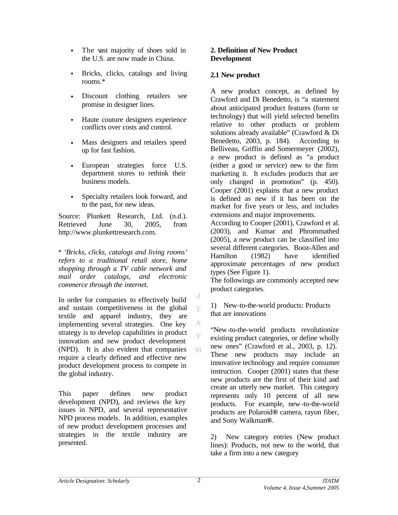- The vast majority of shoes sold in the U.S. are now made in China.
- Bricks, clicks, catalogs and living rooms.\*
- Discount clothing retailers see promise in designer lines.
- Haute couture designers experience conflicts over costs and control.
- Mass designers and retailers speed up for fast fashion.
- European strategies force U.S. department stores to rethink their business models.
- Specialty retailers look forward, and to the past, for new ideas.

Source: Plunkett Research, Ltd. (n.d.). Retrieved June 30, 2005, from http://www.plunkettresearch.com.

\* *'Bricks, clicks, catalogs and living rooms' refers to a traditional retail store, home shopping through a TV cable network and mail order catalogs, and electronic commerce through the internet.*

In order for companies to effectively build and sustain competitiveness in the global textile and apparel industry, they are implementing several strategies. One key strategy is to develop capabilities in product innovation and new product development (NPD). It is also evident that companies require a clearly defined and effective new product development process to compete in the global industry.

This paper defines new product development (NPD), and reviews the key issues in NPD, and several representative NPD process models. In addition, examples of new product development processes and strategies in the textile industry are presented.

### **2. Definition of New Product Development**

#### **2.1 New product**

A new product concept, as defined by Crawford and Di Benedetto, is "a statement about anticipated product features (form or technology) that will yield selected benefits relative to other products or problem solutions already available" (Crawford & Di Benedetto, 2003, p. 184). According to Belliveau, Griffin and Somermeyer (2002), a new product is defined as "a product (either a good or service) new to the firm marketing it. It excludes products that are only changed in promotion" (p. 450). Cooper (2001) explains that a new product is defined as new if it has been on the market for five years or less, and includes extensions and major improvements.

According to Cooper (2001), Crawford et al. (2003), and Kumar and Phrommathed (2005), a new product can be classified into several different categories. Booz-Allen and Hamilton (1982) have identified approximate percentages of new product types (See Figure 1).

The followings are commonly accepted new product categories.

1) New-to-the-world products: Products that are innovations

"New-to-the-world products revolutionize existing product categories, or define wholly new ones" (Crawford et al., 2003, p. 12). These new products may include an innovative technology and require consumer instruction. Cooper (2001) states that these new products are the first of their kind and create an utterly new market. This category represents only 10 percent of all new products. For example, new-to-the-world products are Polaroid**®** camera, rayon fiber, and Sony Walkman**®**.

2) New category entries (New product lines): Products, not new to the world, that take a firm into a new category

J T

A T.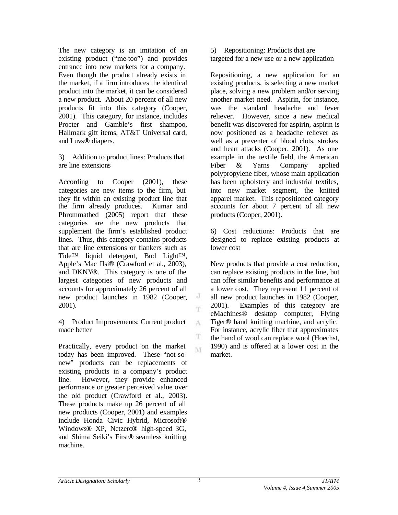The new category is an imitation of an existing product ("me-too") and provides entrance into new markets for a company. Even though the product already exists in the market, if a firm introduces the identical product into the market, it can be considered a new product. About 20 percent of all new products fit into this category (Cooper, 2001). This category, for instance, includes Procter and Gamble's first shampoo, Hallmark gift items, AT&T Universal card, and Luvs**®** diapers.

3) Addition to product lines: Products that are line extensions

According to Cooper (2001), these categories are new items to the firm, but they fit within an existing product line that the firm already produces. Kumar and Phrommathed (2005) report that these categories are the new products that supplement the firm's established product lines. Thus, this category contains products that are line extensions or flankers such as Tide™ liquid detergent, Bud Light™, Apple's Mac IIsi**®** (Crawford et al., 2003), and DKNY**®**. This category is one of the largest categories of new products and accounts for approximately 26 percent of all new product launches in 1982 (Cooper, 2001).

4) Product Improvements: Current product made better

Practically, every product on the market today has been improved. These "not-sonew" products can be replacements of existing products in a company's product line. However, they provide enhanced performance or greater perceived value over the old product (Crawford et al., 2003). These products make up 26 percent of all new products (Cooper, 2001) and examples include Honda Civic Hybrid, Microsoft**®** Windows**®** XP, Netzero**®** high-speed 3G, and Shima Seiki's First**®** seamless knitting machine.

5) Repositioning: Products that are targeted for a new use or a new application

Repositioning, a new application for an existing products, is selecting a new market place, solving a new problem and/or serving another market need. Aspirin, for instance, was the standard headache and fever reliever. However, since a new medical benefit was discovered for aspirin, aspirin is now positioned as a headache reliever as well as a preventer of blood clots, strokes and heart attacks (Cooper, 2001). As one example in the textile field, the American Fiber & Yarns Company applied polypropylene fiber, whose main application has been upholstery and industrial textiles, into new market segment, the knitted apparel market. This repositioned category accounts for about 7 percent of all new products (Cooper, 2001).

6) Cost reductions: Products that are designed to replace existing products at lower cost

New products that provide a cost reduction, can replace existing products in the line, but can offer similar benefits and performance at a lower cost. They represent 11 percent of all new product launches in 1982 (Cooper, 2001). Examples of this category are eMachines® desktop computer, Flying Tiger**®** hand knitting machine, and acrylic. For instance, acrylic fiber that approximates the hand of wool can replace wool (Hoechst, 1990) and is offered at a lower cost in the market.

J T.

A

T M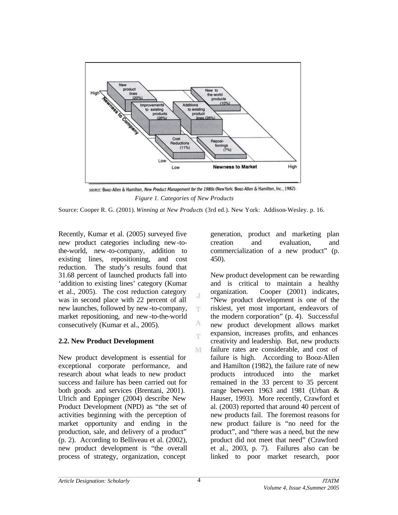

SOURCE: Booz-Allen & Hamilton, New Product Management for the 1980s (New York: Booz-Allen & Hamilton, Inc., 1982).  *Figure 1. Categories of New Products* 

Source: Cooper R. G. (2001). *Winning at New Products* (3rd ed.). New York: Addison-Wesley. p. 16.

J m.

> A m

M

Recently, Kumar et al. (2005) surveyed five new product categories including new-tothe-world, new-to-company, addition to existing lines, repositioning, and cost reduction. The study's results found that 31.68 percent of launched products fall into 'addition to existing lines' category (Kumar et al., 2005). The cost reduction category was in second place with 22 percent of all new launches, followed by new-to-company, market repositioning, and new-to-the-world consecutively (Kumar et al., 2005).

# **2.2. New Product Development**

New product development is essential for exceptional corporate performance, and research about what leads to new product success and failure has been carried out for both goods and services (Brentani, 2001). Ulrich and Eppinger (2004) describe New Product Development (NPD) as "the set of activities beginning with the perception of market opportunity and ending in the production, sale, and delivery of a product" (p. 2). According to Belliveau et al. (2002), new product development is "the overall process of strategy, organization, concept

generation, product and marketing plan creation and evaluation, and commercialization of a new product" (p. 450).

New product development can be rewarding and is critical to maintain a healthy organization. Cooper (2001) indicates, "New product development is one of the riskiest, yet most important, endeavors of the modern corporation" (p. 4). Successful new product development allows market expansion, increases profits, and enhances creativity and leadership. But, new products failure rates are considerable, and cost of failure is high. According to Booz-Allen and Hamilton (1982), the failure rate of new products introduced into the market remained in the 33 percent to 35 percent range between 1963 and 1981 (Urban & Hauser, 1993). More recently, Crawford et al. (2003) reported that around 40 percent of new products fail. The foremost reasons for new product failure is "no need for the product", and "there was a need, but the new product did not meet that need" (Crawford et al., 2003, p. 7). Failures also can be linked to poor market research, poor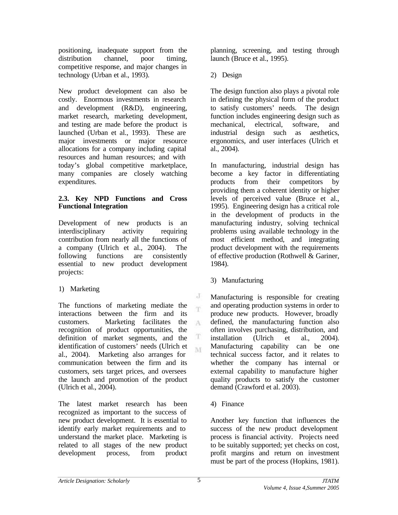positioning, inadequate support from the distribution channel, poor timing, competitive response, and major changes in technology (Urban et al., 1993).

New product development can also be costly. Enormous investments in research and development (R&D), engineering, market research, marketing development, and testing are made before the product is launched (Urban et al., 1993). These are major investments or major resource allocations for a company including capital resources and human resources; and with today's global competitive marketplace, many companies are closely watching expenditures.

#### **2.3. Key NPD Functions and Cross Functional Integration**

Development of new products is an interdisciplinary activity requiring contribution from nearly all the functions of a company (Ulrich et al., 2004). The following functions are consistently essential to new product development projects:

# 1) Marketing

The functions of marketing mediate the interactions between the firm and its customers. Marketing facilitates the A recognition of product opportunities, the T definition of market segments, and the identification of customers' needs (Ulrich et M al., 2004). Marketing also arranges for communication between the firm and its customers, sets target prices, and oversees the launch and promotion of the product (Ulrich et al., 2004).

The latest market research has been recognized as important to the success of new product development. It is essential to identify early market requirements and to understand the market place. Marketing is related to all stages of the new product development process, from product planning, screening, and testing through launch (Bruce et al., 1995).

2) Design

The design function also plays a pivotal role in defining the physical form of the product to satisfy customers' needs. The design function includes engineering design such as mechanical, electrical, software, and industrial design such as aesthetics, ergonomics, and user interfaces (Ulrich et al., 2004).

In manufacturing, industrial design has become a key factor in differentiating products from their competitors by providing them a coherent identity or higher levels of perceived value (Bruce et al., 1995). Engineering design has a critical role in the development of products in the manufacturing industry, solving technical problems using available technology in the most efficient method, and integrating product development with the requirements of effective production (Rothwell  $\&$  Gariner, 1984).

3) Manufacturing

Manufacturing is responsible for creating and operating production systems in order to produce new products. However, broadly defined, the manufacturing function also often involves purchasing, distribution, and installation (Ulrich et al., 2004). Manufacturing capability can be one technical success factor, and it relates to whether the company has internal or external capability to manufacture higher quality products to satisfy the customer demand (Crawford et al. 2003).

4) Finance

Another key function that influences the success of the new product development process is financial activity. Projects need to be suitably supported; yet checks on cost, profit margins and return on investment must be part of the process (Hopkins, 1981).

J  $\bar{\rm T}$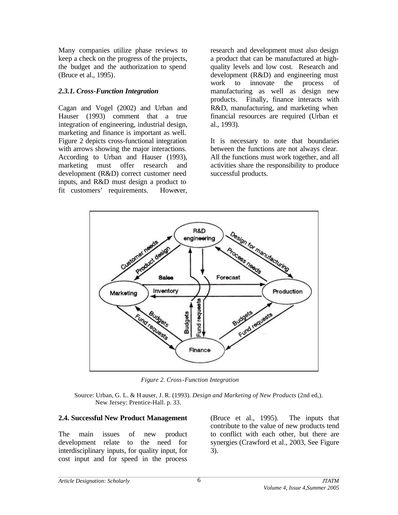Many companies utilize phase reviews to keep a check on the progress of the projects, the budget and the authorization to spend (Bruce et al., 1995).

#### *2.3.1. Cross-Function Integration*

Cagan and Vogel (2002) and Urban and Hauser (1993) comment that a true integration of engineering, industrial design, marketing and finance is important as well. Figure 2 depicts cross-functional integration with arrows showing the major interactions. According to Urban and Hauser (1993), marketing must offer research and development (R&D) correct customer need inputs, and R&D must design a product to fit customers' requirements. However,

research and development must also design a product that can be manufactured at highquality levels and low cost. Research and development (R&D) and engineering must work to innovate the process of manufacturing as well as design new products. Finally, finance interacts with R&D, manufacturing, and marketing when financial resources are required (Urban et al., 1993).

It is necessary to note that boundaries between the functions are not always clear. All the functions must work together, and all activities share the responsibility to produce successful products.



 *Figure 2. Cross-Function Integration* 

 Source: Urban, G. L. & H auser, J. R. (1993). *Design and Marketing of New Products* (2nd ed,). New Jersey: Prentice-Hall. p. 33.

#### **2.4. Successful New Product Management**

The main issues of new product development relate to the need for interdisciplinary inputs, for quality input, for cost input and for speed in the process

(Bruce et al., 1995). The inputs that contribute to the value of new products tend to conflict with each other, but there are synergies (Crawford et al., 2003, See Figure 3).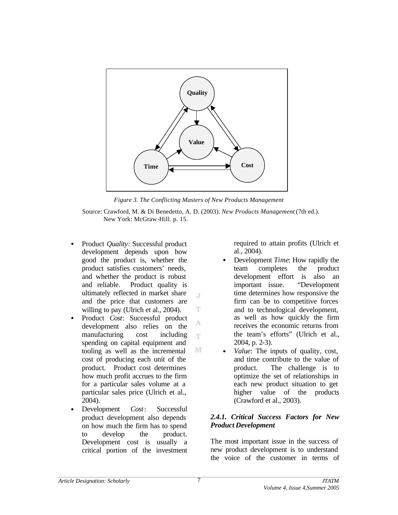

*Figure 3. The Conflicting Masters of New Products Management*

 Source: Crawford, M. & Di Benedetto, A. D. (2003). *New Products Management* (7th ed.). New York: McGraw-Hill. p. 15.

 $\cdot$ T

T

A T.

M

- Product *Quality*: Successful product development depends upon how good the product is, whether the product satisfies customers' needs, and whether the product is robust and reliable. Product quality is ultimately reflected in market share and the price that customers are willing to pay (Ulrich et al., 2004).
- Product *Cost*: Successful product development also relies on the manufacturing cost including spending on capital equipment and tooling as well as the incremental cost of producing each unit of the product. Product cost determines how much profit accrues to the firm for a particular sales volume at a particular sales price (Ulrich et al., 2004).
- Development *Cost*: Successful product development also depends on how much the firm has to spend to develop the product. Development cost is usually a critical portion of the investment

required to attain profits (Ulrich et al., 2004).

- Development *Time*: How rapidly the team completes the product development effort is also an important issue. "Development time determines how responsive the firm can be to competitive forces and to technological development, as well as how quickly the firm receives the economic returns from the team's efforts" (Ulrich et al., 2004, p. 2-3).
- *Value*: The inputs of quality, cost, and time contribute to the value of product. The challenge is to optimize the set of relationships in each new product situation to get higher value of the products (Crawford et al., 2003).

#### *2.4.1. Critical Success Factors for New Product Development*

The most important issue in the success of new product development is to understand the voice of the customer in terms of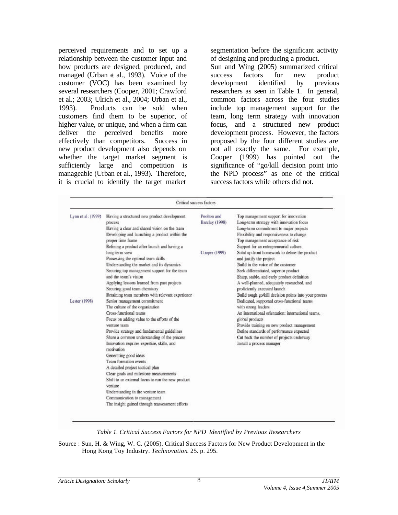perceived requirements and to set up a relationship between the customer input and how products are designed, produced, and managed (Urban et al., 1993). Voice of the customer (VOC) has been examined by several researchers (Cooper, 2001; Crawford et al.; 2003; Ulrich et al., 2004; Urban et al., 1993). Products can be sold when customers find them to be superior, of higher value, or unique, and when a firm can deliver the perceived benefits more effectively than competitors. Success in new product development also depends on whether the target market segment is sufficiently large and competition is manageable (Urban et al., 1993). Therefore, it is crucial to identify the target market

segmentation before the significant activity of designing and producing a product.

Sun and Wing (2005) summarized critical success factors for new product development identified by previous researchers as seen in Table 1. In general, common factors across the four studies include top management support for the team, long term strategy with innovation focus, and a structured new product development process. However, the factors proposed by the four different studies are not all exactly the same. For example, Cooper (1999) has pointed out the significance of "go/kill decision point into the NPD process" as one of the critical success factors while others did not.

|                                     | Critical success factors                                                                                                                                                                                                                                                                                                                                                                                                                                                                                                                                                                                                                                                                                                                                                                                                                                                                                                                                                                                                                                |                                                       |                                                                                                                                                                                                                                                                                                                                                                                                                                                                                                                                                                                                                                                                                                                                                                                                                                                                                                                           |
|-------------------------------------|---------------------------------------------------------------------------------------------------------------------------------------------------------------------------------------------------------------------------------------------------------------------------------------------------------------------------------------------------------------------------------------------------------------------------------------------------------------------------------------------------------------------------------------------------------------------------------------------------------------------------------------------------------------------------------------------------------------------------------------------------------------------------------------------------------------------------------------------------------------------------------------------------------------------------------------------------------------------------------------------------------------------------------------------------------|-------------------------------------------------------|---------------------------------------------------------------------------------------------------------------------------------------------------------------------------------------------------------------------------------------------------------------------------------------------------------------------------------------------------------------------------------------------------------------------------------------------------------------------------------------------------------------------------------------------------------------------------------------------------------------------------------------------------------------------------------------------------------------------------------------------------------------------------------------------------------------------------------------------------------------------------------------------------------------------------|
| Lynn et al. (1999)<br>Lester (1998) | Having a structured new product development<br>process<br>Having a clear and shared vision on the team<br>Developing and launching a product within the<br>proper time frame<br>Refining a product after launch and having a<br>long-term view<br>Possessing the optimal team skills<br>Understanding the market and its dynamics<br>Securing top management support for the team<br>and the team's vision<br>Applying lessons learned from past projects<br>Securing good team chemistry<br>Retaining team members with relevant experience<br>Senior management commitment<br>The culture of the organization<br>Cross-functional teams<br>Focus on adding value to the efforts of the<br>venture team<br>Provide strategy and fundamental guidelines<br>Share a common understanding of the process<br>Innovation requires expertise, skills, and<br>motivation<br>Generating good ideas<br>Team formation events<br>A detailed project tactical plan<br>Clear goals and milestone measurements<br>Shift to an external focus to run the new product | Poolton and<br><b>Barclay</b> (1998)<br>Cooper (1999) | Top management support for innovation<br>Long-term strategy with innovation focus<br>Long-term commitment to major projects<br>Flexibility and responsiveness to change<br>Top management acceptance of risk<br>Support for an entrepreneurial culture<br>Solid up-front homework to define the product<br>and justify the project<br>Build in the voice of the customer<br>Seek differentiated, superior product<br>Sharp, stable, and early product definition<br>A well-planned, adequately researched, and<br>proficiently executed launch<br>Build tough go/kill decision points into your process<br>Dedicated, supported cross-functional teams<br>with strong leaders<br>An international orientation: international teams,<br>global products<br>Provide training on new product management<br>Define standards of performance expected<br>Cut back the number of projects underway<br>Install a process manager |
|                                     | venture<br>Understanding in the venture team<br>Communication to management<br>The insight gained through reassessment efforts                                                                                                                                                                                                                                                                                                                                                                                                                                                                                                                                                                                                                                                                                                                                                                                                                                                                                                                          |                                                       |                                                                                                                                                                                                                                                                                                                                                                                                                                                                                                                                                                                                                                                                                                                                                                                                                                                                                                                           |

*Table 1. Critical Success Factors for NPD Identified by Previous Researchers*

Source : Sun, H. & Wing, W. C. (2005). Critical Success Factors for New Product Development in the Hong Kong Toy Industry. *Technovation*. 25. p. 295.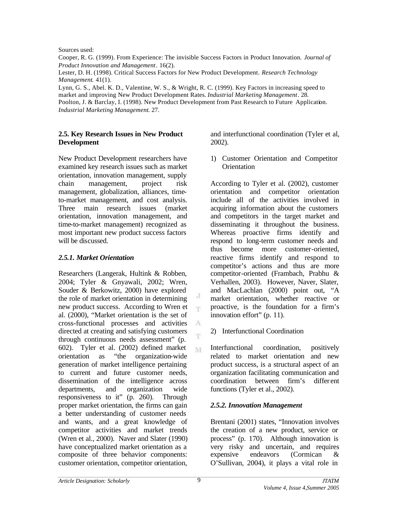Sources used:

Cooper, R. G. (1999). From Experience: The invisible Success Factors in Product Innovation. *Journal of Product Innovation and Management*. 16(2).

Lester, D. H. (1998). Critical Success Factors for New Product Development. *Research Technology Management*. 41(1).

Lynn, G. S., Abel. K. D., Valentine, W. S., & Wright, R. C. (1999). Key Factors in increasing speed to market and improving New Product Development Rates. *Industrial Marketing Management*. 28. Poolton, J. & Barclay, I. (1998). New Product Development from Past Research to Future Application. *Industrial Marketing Management*. 27.

#### **2.5. Key Research Issues in New Product Development**

New Product Development researchers have examined key research issues such as market orientation, innovation management, supply chain management, project risk management, globalization, alliances, timeto-market management, and cost analysis. Three main research issues (market orientation, innovation management, and time-to-market management) recognized as most important new product success factors will be discussed.

# *2.5.1. Market Orientation*

Researchers (Langerak, Hultink & Robben, 2004; Tyler & Gnyawali, 2002; Wren, Souder & Berkowitz, 2000) have explored the role of market orientation in determining new product success. According to Wren et al. (2000), "Market orientation is the set of cross-functional processes and activities directed at creating and satisfying customers through continuous needs assessment" (p. 602). Tyler et al. (2002) defined market orientation as "the organization-wide generation of market intelligence pertaining to current and future customer needs, dissemination of the intelligence across departments, and organization wide responsiveness to it" (p. 260). Through proper market orientation, the firms can gain a better understanding of customer needs and wants, and a great knowledge of competitor activities and market trends (Wren et al., 2000). Naver and Slater (1990) have conceptualized market orientation as a composite of three behavior components: customer orientation, competitor orientation,

and interfunctional coordination (Tyler et al, 2002).

1) Customer Orientation and Competitor **Orientation** 

According to Tyler et al. (2002), customer orientation and competitor orientation include all of the activities involved in acquiring information about the customers and competitors in the target market and disseminating it throughout the business. Whereas proactive firms identify and respond to long-term customer needs and thus become more customer-oriented, reactive firms identify and respond to competitor's actions and thus are more competitor-oriented (Frambach, Prabhu & Verhallen, 2003). However, Naver, Slater, and MacLachlan (2000) point out, "A market orientation, whether reactive or proactive, is the foundation for a firm's innovation effort" (p. 11).

2) Interfunctional Coordination

Interfunctional coordination, positively related to market orientation and new product success, is a structural aspect of an organization facilitating communication and coordination between firm's differ ent functions (Tyler et al., 2002).

# *2.5.2. Innovation Management*

Brentani (2001) states, "Innovation involves the creation of a new product, service or process" (p. 170). Although innovation is very risky and uncertain, and requires expensive endeavors (Cormican & O'Sullivan, 2004), it plays a vital role in

J T.

 $\Lambda$ Ŧ.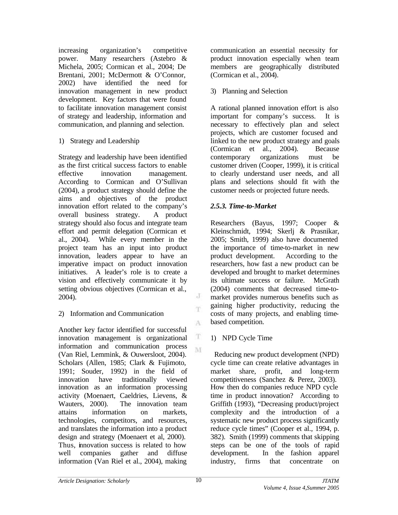increasing organization's competitive power. Many researchers (Astebro & Michela, 2005; Cormican et al., 2004; De Brentani, 2001; McDermott & O'Connor, 2002) have identified the need for innovation management in new product development. Key factors that were found to facilitate innovation management consist of strategy and leadership, information and communication, and planning and selection.

# 1) Strategy and Leadership

Strategy and leadership have been identified as the first critical success factors to enable effective innovation management. According to Cormican and O'Sullivan (2004), a product strategy should define the aims and objectives of the product innovation effort related to the company's overall business strategy. A product strategy should also focus and integrate team effort and permit delegation (Cormican et al., 2004). While every member in the project team has an input into product innovation, leaders appear to have an imperative impact on product innovation initiatives. A leader's role is to create a vision and effectively communicate it by setting obvious objectives (Cormican et al., 2004).

# 2) Information and Communication

Another key factor identified for successful innovation management is organizational information and communication process (Van Riel, Lemmink, & Ouwersloot, 2004). Scholars (Allen, 1985; Clark & Fujimoto, 1991; Souder, 1992) in the field of innovation have traditionally viewed innovation as an information processing activity (Moenaert, Caeldries, Lievens, & Wauters, 2000). The innovation team attains information on markets, technologies, competitors, and resources, and translates the information into a product design and strategy (Moenaert et al, 2000). Thus, innovation success is related to how well companies gather and diffuse information (Van Riel et al., 2004), making

communication an essential necessity for product innovation especially when team members are geographically distributed (Cormican et al., 2004).

# 3) Planning and Selection

A rational planned innovation effort is also important for company's success. It is necessary to effectively plan and select projects, which are customer focused and linked to the new product strategy and goals (Cormican et al., 2004). Because contemporary organizations must be customer driven (Cooper, 1999), it is critical to clearly understand user needs, and all plans and selections should fit with the customer needs or projected future needs.

# *2.5.3. Time-to-Market*

Researchers (Bayus, 1997; Cooper & Kleinschmidt, 1994; Skerlj & Prasnikar, 2005; Smith, 1999) also have documented the importance of time-to-market in new product development. According to the researchers, how fast a new product can be developed and brought to market determines its ultimate success or failure. McGrath (2004) comments that decreased time-tomarket provides numerous benefits such as gaining higher productivity, reducing the costs of many projects, and enabling timebased competition.

# 1) NPD Cycle Time

 Reducing new product development (NPD) cycle time can create relative advantages in market share, profit, and long-term competitiveness (Sanchez & Perez, 2003). How then do companies reduce NPD cycle time in product innovation? According to Griffith (1993), "Decreasing product/project complexity and the introduction of a systematic new product process significantly reduce cycle times" (Cooper et al., 1994, p. 382). Smith (1999) comments that skipping steps can be one of the tools of rapid development. In the fashion apparel industry, firms that concentrate on

 $_{\rm c}$  J T

A

 $_{\rm T}$ M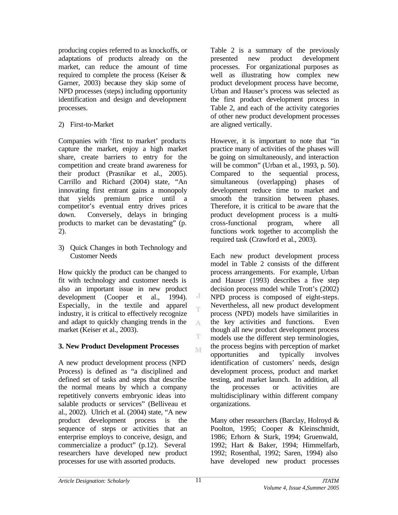producing copies referred to as knockoffs, or adaptations of products already on the market, can reduce the amount of time required to complete the process (Keiser & Garner, 2003) because they skip some of NPD processes (steps) including opportunity identification and design and development processes.

# 2) First-to-Market

Companies with 'first to market' products capture the market, enjoy a high market share, create barriers to entry for the competition and create brand awareness for their product (Prasnikar et al., 2005). Carrillo and Richard (2004) state, "An innovating first entrant gains a monopoly that yields premium price until a competitor's eventual entry drives prices down. Conversely, delays in bringing products to market can be devastating" (p. 2).

3) Quick Changes in both Technology and Customer Needs

How quickly the product can be changed to fit with technology and customer needs is also an important issue in new product development (Cooper et al., 1994). Especially, in the textile and apparel industry, it is critical to effectively recognize and adapt to quickly changing trends in the market (Keiser et al., 2003).

# **3. New Product Development Processes**

A new product development process (NPD Process) is defined as "a disciplined and defined set of tasks and steps that describe the normal means by which a company repetitively converts embryonic ideas into salable products or services" (Belliveau et al., 2002). Ulrich et al. (2004) state, "A new product development process is the sequence of steps or activities that an enterprise employs to conceive, design, and commercialize a product" (p.12). Several researchers have developed new product processes for use with assorted products.

Table 2 is a summary of the previously presented new product development processes. For organizational purposes as well as illustrating how complex new product development process have become, Urban and Hauser's process was selected as the first product development process in Table 2, and each of the activity categories of other new product development processes are aligned vertically.

However, it is important to note that "in practice many of activities of the phases will be going on simultaneously, and interaction will be common" (Urban et al., 1993, p. 50). Compared to the sequential process, simultaneous (overlapping) phases of development reduce time to market and smooth the transition between phases. Therefore, it is critical to be aware that the product development process is a multicross-functional program, where all functions work together to accomplish the required task (Crawford et al., 2003).

Each new product development process model in Table 2 consists of the different process arrangements. For example, Urban and Hauser (1993) describes a five step decision process model while Trott's (2002) NPD process is composed of eight-steps. Nevertheless, all new product development process (NPD) models have similarities in the key activities and functions. Even though all new product development process models use the different step terminologies, the process begins with perception of market opportunities and typically involves identification of customers' needs, design development process, product and market testing, and market launch. In addition, all the processes or activities are multidisciplinary within different company organizations.

Many other researchers (Barclay, Holroyd & Poolton, 1995; Cooper & Kleinschmidt, 1986; Erhorn & Stark, 1994; Gruenwald, 1992; Hart & Baker, 1994; Himmelfarb, 1992; Rosenthal, 1992; Saren, 1994) also have developed new product processes

J Υŕ

A

T M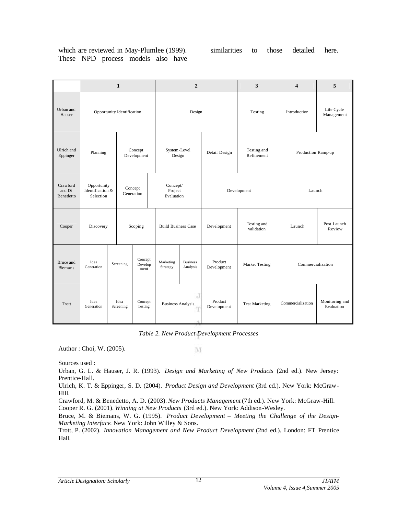which are reviewed in May-Plumlee (1999). These NPD process models also have

|                                    | $\mathbf{1}$                                 |                                    |                            | $\overline{2}$ |                                   | 3                           | $\overline{\mathbf{4}}$  | 5                         |                    |                              |
|------------------------------------|----------------------------------------------|------------------------------------|----------------------------|----------------|-----------------------------------|-----------------------------|--------------------------|---------------------------|--------------------|------------------------------|
| Urban and<br>Hauser                | Opportunity Identification                   |                                    | Design                     |                | Testing                           | Introduction                | Life Cycle<br>Management |                           |                    |                              |
| Ulrich and<br>Eppinger             |                                              | Concept<br>Planning<br>Development |                            |                | System-Level<br>Design            |                             | Detail Design            | Testing and<br>Refinement | Production Ramp-up |                              |
| Crawford<br>and Di<br>Benedetto    | Opportunity<br>Identification &<br>Selection |                                    | Concept<br>Generation      |                | Concept/<br>Project<br>Evaluation |                             | Development<br>Launch    |                           |                    |                              |
| Cooper                             |                                              | Discovery<br>Scoping               |                            |                | <b>Build Business Case</b>        |                             | Development              | Testing and<br>validation | Launch             | Post Launch<br>Review        |
| <b>Bruce</b> and<br><b>Biemans</b> | Idea<br>Generation                           | Screening                          | Concept<br>Develop<br>ment |                | Marketing<br>Strategy             | <b>Business</b><br>Analysis | Product<br>Development   | Market Testing            | Commercialization  |                              |
| Trott                              | Idea<br>Generation                           | Idea<br>Screening                  | Concept<br>Testing         |                | <b>Business Analysis</b>          | $_{\rm d}$                  | Product<br>Development   | <b>Test Marketing</b>     | Commercialization  | Monitoring and<br>Evaluation |

*Table 2. New Product Development Processes*

Author : Choi, W. (2005).

 $\mathbf{M}$ 

Sources used :

Urban, G. L. & Hauser, J. R. (1993). *Design and Marketing of New Products* (2nd ed.). New Jersey: Prentice-Hall.

Ulrich, K. T. & Eppinger, S. D. (2004). *Product Design and Development* (3rd ed.). New York: McGraw-Hill.

Crawford, M. & Benedetto, A. D. (2003). *New Products Management* (7th ed.). New York: McGraw-Hill. Cooper R. G. (2001). *Winning at New Products* (3rd ed.). New York: Addison-Wesley.

Bruce, M. & Biemans, W. G. (1995). *Product Development – Meeting the Challenge of the Design-Marketing Interface*. New York: John Willey & Sons.

Trott, P. (2002). *Innovation Management and New Product Development* (2nd ed.). London: FT Prentice Hall.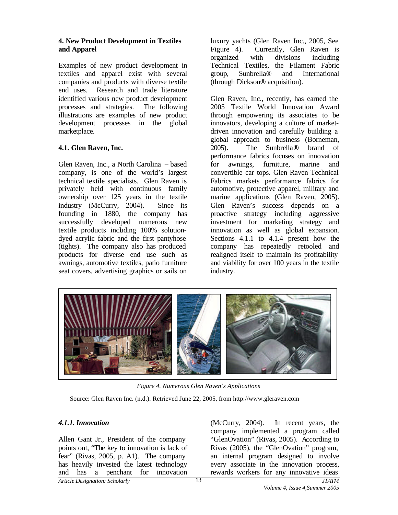#### **4. New Product Development in Textiles and Apparel**

Examples of new product development in textiles and apparel exist with several companies and products with diverse textile end uses. Research and trade literature identified various new product development processes and strategies. The following illustrations are examples of new product development processes in the global marketplace.

#### **4.1. Glen Raven, Inc.**

Glen Raven, Inc., a North Carolina – based company, is one of the world's largest technical textile specialists. Glen Raven is privately held with continuous family ownership over 125 years in the textile industry (McCurry, 2004). Since its founding in 1880, the company has successfully developed numerous new textile products including 100% solutiondyed acrylic fabric and the first pantyhose (tights). The company also has produced products for diverse end use such as awnings, automotive textiles, patio furniture seat covers, advertising graphics or sails on

luxury yachts (Glen Raven Inc., 2005, See Figure 4). Currently, Glen Raven is organized with divisions including Technical Textiles, the Filament Fabric group, Sunbrella® and International (through Dickson® acquisition).

Glen Raven, Inc., recently, has earned the 2005 Textile World Innovation Award through empowering its associates to be innovators, developing a culture of marketdriven innovation and carefully building a global approach to business (Borneman, 2005). The Sunbrella**®** brand of performance fabrics focuses on innovation for awnings, furniture, marine and convertible car tops. Glen Raven Technical Fabrics markets performance fabrics for automotive, protective apparel, military and marine applications (Glen Raven, 2005). Glen Raven's success depends on a proactive strategy including aggressive investment for marketing strategy and innovation as well as global expansion. Sections 4.1.1 to 4.1.4 present how the company has repeatedly retooled and realigned itself to maintain its profitability and viability for over 100 years in the textile industry.



*Figure 4. Numerous Glen Raven's Applications*

Source: Glen Raven Inc. (n.d.). Retrieved June 22, 2005, from http://www.gleraven.com

# *4.1.1. Innovation*

*Article Designation: Scholarly JTATM* Allen Gant Jr., President of the company points out, "The key to innovation is lack of fear" (Rivas, 2005, p. A1). The company has heavily invested the latest technology and has a penchant for innovation

(McCurry, 2004). In recent years, the company implemented a program called "GlenOvation" (Rivas, 2005). According to Rivas (2005), the "GlenOvation" program, an internal program designed to involve every associate in the innovation process, rewards workers for any innovative ideas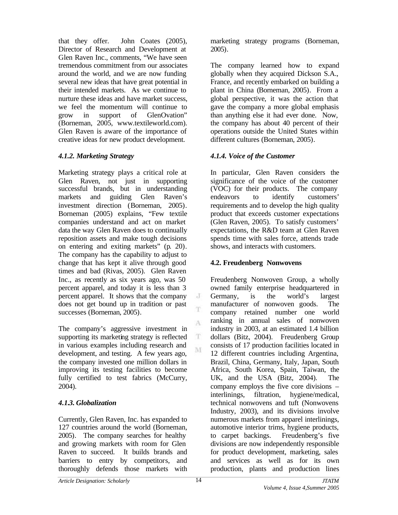that they offer. John Coates (2005), Director of Research and Development at Glen Raven Inc., comments, "We have seen tremendous commitment from our associates around the world, and we are now funding several new ideas that have great potential in their intended markets. As we continue to nurture these ideas and have market success we feel the momentum will continue to grow in support of GlenOvation" (Borneman, 2005, www.textileworld.com). Glen Raven is aware of the importance of creative ideas for new product development.

# *4.1.2. Marketing Strategy*

Marketing strategy plays a critical role at Glen Raven, not just in supporting successful brands, but in understanding markets and guiding Glen Raven's investment direction (Borneman, 2005). Borneman (2005) explains, "Few textile companies understand and act on market data the way Glen Raven does to continually reposition assets and make tough decisions on entering and exiting markets" (p. 20). The company has the capability to adjust to change that has kept it alive through good times and bad (Rivas, 2005). Glen Raven Inc., as recently as six years ago, was 50 percent apparel, and today it is less than 3 percent apparel. It shows that the company does not get bound up in tradition or past successes (Borneman, 2005).

The company's aggressive investment in supporting its marketing strategy is reflected in various examples including research and development, and testing. A few years ago, the company invested one million dollars in improving its testing facilities to become fully certified to test fabrics (McCurry, 2004).

# *4.1.3. Globalization*

Currently, Glen Raven, Inc. has expanded to 127 countries around the world (Borneman, 2005). The company searches for healthy and growing markets with room for Glen Raven to succeed. It builds brands and barriers to entry by competitors, and thoroughly defends those markets with

marketing strategy programs (Borneman, 2005).

The company learned how to expand globally when they acquired Dickson S.A., France, and recently embarked on building a plant in China (Borneman, 2005). From a global perspective, it was the action that gave the company a more global emphasis than anything else it had ever done. Now, the company has about 40 percent of their operations outside the United States within different cultures (Borneman, 2005).

# *4.1.4. Voice of the Customer*

In particular, Glen Raven considers the significance of the voice of the customer (VOC) for their products. The company endeavors to identify customers' requirements and to develop the high quality product that exceeds customer expectations (Glen Raven, 2005). To satisfy customers' expectations, the R&D team at Glen Raven spends time with sales force, attends trade shows, and interacts with customers.

# **4.2. Freudenberg Nonwovens**

Freudenberg Nonwoven Group, a wholly owned family enterprise headquartered in Germany, is the world's largest manufacturer of nonwoven goods. The company retained number one world ranking in annual sales of nonwoven industry in 2003, at an estimated 1.4 billion dollars (Bitz, 2004). Freudenberg Group consists of 17 production facilities located in 12 different countries including Argentina, Brazil, China, Germany, Italy, Japan, South Africa, South Korea, Spain, Taiwan, the UK, and the USA (Bitz, 2004). The company employs the five core divisions – interlinings, filtration, hygiene/medical, technical nonwovens and tuft (Nonwovens Industry, 2003), and its divisions involve numerous markets from apparel interlinings, automotive interior trims, hygiene products, to carpet backings. Freudenberg's five divisions are now independently responsible for product development, marketing, sales and services as well as for its own production, plants and production lines

J T.

A

 $\mathbf T$ M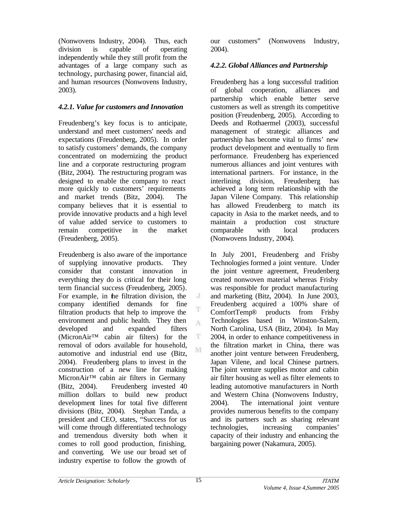(Nonwovens Industry, 2004). Thus, each division is capable of operating independently while they still profit from the advantages of a large company such as technology, purchasing power, financial aid, and human resources (Nonwovens Industry, 2003).

# *4.2.1. Value for customers and Innovation*

Freudenberg's key focus is to anticipate, understand and meet customers' needs and expectations (Freudenberg, 2005). In order to satisfy customers' demands, the company concentrated on modernizing the product line and a corporate restructuring program (Bitz, 2004). The restructuring program was designed to enable the company to react more quickly to customers' requirements and market trends (Bitz, 2004). The company believes that it is essential to provide innovative products and a high level of value added service to customers to remain competitive in the market (Freudenberg, 2005).

Freudenberg is also aware of the importance of supplying innovative products. They consider that constant innovation in everything they do is critical for their long term financial success (Freudenberg, 2005). For example, in the filtration division, the company identified demands for fine filtration products that help to improve the environment and public health. They then developed and expanded filters (MicronAir™ cabin air filters) for the removal of odors available for household, automotive and industrial end use (Bitz, 2004). Freudenberg plans to invest in the construction of a new line for making MicronAir™ cabin air filters in Germany (Bitz, 2004). Freudenberg invested 40 million dollars to build new product development lines for total five different divisions (Bitz, 2004). Stephan Tanda, a president and CEO, states, "Success for us will come through differentiated technology and tremendous diversity both when it comes to roll good production, finishing, and converting. We use our broad set of industry expertise to follow the growth of

our customers" (Nonwovens Industry, 2004).

### *4.2.2. Global Alliances and Partnership*

Freudenberg has a long successful tradition of global cooperation, alliances and partnership which enable better serve customers as well as strength its competitive position (Freudenberg, 2005). According to Deeds and Rothaermel (2003), successful management of strategic alliances and partnership has become vital to firms' new product development and eventually to firm performance. Freudenberg has experienced numerous alliances and joint ventures with international partners. For instance, in the interlining division, Freudenberg has achieved a long term relationship with the Japan Vilene Company. This relationship has allowed Freudenberg to match its capacity in Asia to the market needs, and to maintain a production cost structure comparable with local producers (Nonwovens Industry, 2004).

In July 2001, Freudenberg and Frisby Technologies formed a joint venture. Under the joint venture agreement, Freudenberg created nonwoven material whereas Frisby was responsible for product manufacturing and marketing (Bitz, 2004). In June 2003, Freudenberg acquired a 100% share of ComfortTemp® products from Frisby Technologies based in Winston-Salem, North Carolina, USA (Bitz, 2004). In May 2004, in order to enhance competitiveness in the filtration market in China, there was another joint venture between Freudenberg, Japan Vilene, and local Chinese partners. The joint venture supplies motor and cabin air filter housing as well as filter elements to leading automotive manufacturers in North and Western China (Nonwovens Industry, 2004). The international joint venture provides numerous benefits to the company and its partners such as sharing relevant technologies, increasing companies' capacity of their industry and enhancing the bargaining power (Nakamura, 2005).

J

T A

 $\mathbf T$ M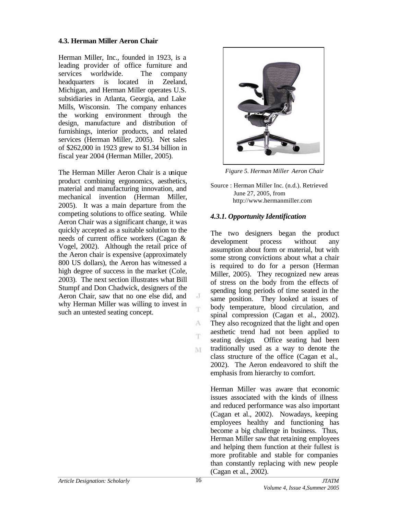#### **4.3. Herman Miller Aeron Chair**

Herman Miller, Inc., founded in 1923, is a leading provider of office furniture and services worldwide. The company headquarters is located in Zeeland, Michigan, and Herman Miller operates U.S. subsidiaries in Atlanta, Georgia, and Lake Mills, Wisconsin. The company enhances the working environment through the design, manufacture and distribution of furnishings, interior products, and related services (Herman Miller, 2005). Net sales of \$262,000 in 1923 grew to \$1.34 billion in fiscal year 2004 (Herman Miller, 2005).

The Herman Miller Aeron Chair is a unique product combining ergonomics, aesthetics, material and manufacturing innovation, and mechanical invention (Herman Miller, 2005). It was a main departure from the competing solutions to office seating. While Aeron Chair was a significant change, it was quickly accepted as a suitable solution to the needs of current office workers (Cagan & Vogel, 2002). Although the retail price of the Aeron chair is expensive (approximately 800 US dollars), the Aeron has witnessed a high degree of success in the market (Cole, 2003). The next section illustrates what Bill Stumpf and Don Chadwick, designers of the Aeron Chair, saw that no one else did, and why Herman Miller was willing to invest in such an untested seating concept.



*Figure 5. Herman Miller Aeron Chair*

Source : Herman Miller Inc. (n.d.). Retrieved June 27, 2005, from http://www.hermanmiller.com

#### *4.3.1. Opportunity Identification*

The two designers began the product development process without any assumption about form or material, but with some strong convictions about what a chair is required to do for a person (Herman Miller, 2005). They recognized new areas of stress on the body from the effects of spending long periods of time seated in the same position. They looked at issues of body temperature, blood circulation, and spinal compression (Cagan et al., 2002). They also recognized that the light and open aesthetic trend had not been applied to seating design. Office seating had been traditionally used as a way to denote the class structure of the office (Cagan et al., 2002). The Aeron endeavored to shift the emphasis from hierarchy to comfort.

Herman Miller was aware that economic issues associated with the kinds of illness and reduced performance was also important (Cagan et al., 2002). Nowadays, keeping employees healthy and functioning has become a big challenge in business. Thus, Herman Miller saw that retaining employees and helping them function at their fullest is more profitable and stable for companies than constantly replacing with new people (Cagan et al., 2002).

J T.

A T.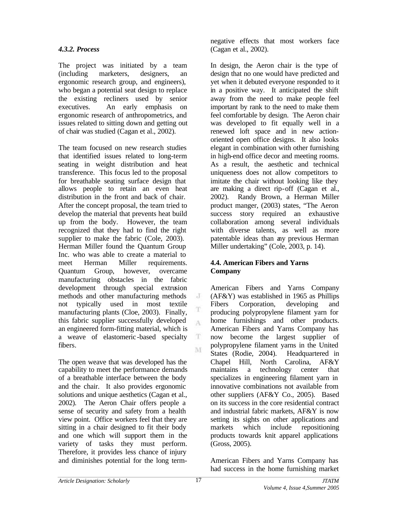#### *4.3.2. Process*

The project was initiated by a team (including marketers, designers, an ergonomic research group, and engineers), who began a potential seat design to replace the existing recliners used by senior executives. An early emphasis on ergonomic research of anthropometrics, and issues related to sitting down and getting out of chair was studied (Cagan et al., 2002).

The team focused on new research studies that identified issues related to long-term seating in weight distribution and heat transference. This focus led to the proposal for breathable seating surface design that allows people to retain an even heat distribution in the front and back of chair. After the concept proposal, the team tried to develop the material that prevents heat build up from the body. However, the team recognized that they had to find the right supplier to make the fabric (Cole, 2003). Herman Miller found the Quantum Group Inc. who was able to create a material to meet Herman Miller requirements. Quantum Group, however, overcame manufacturing obstacles in the fabric development through special extrusion methods and other manufacturing methods not typically used in most textile manufacturing plants (Cloe, 2003). Finally, this fabric supplier successfully developed an engineered form-fitting material, which is a weave of elastomeric -based specialty fibers.

The open weave that was developed has the capability to meet the performance demands of a breathable interface between the body and the chair. It also provides ergonomic solutions and unique aesthetics (Cagan et al., 2002). The Aeron Chair offers people a sense of security and safety from a health view point. Office workers feel that they are sitting in a chair designed to fit their body and one which will support them in the variety of tasks they must perform. Therefore, it provides less chance of injury and diminishes potential for the long termnegative effects that most workers face (Cagan et al., 2002).

In design, the Aeron chair is the type of design that no one would have predicted and yet when it debuted everyone responded to it in a positive way. It anticipated the shift away from the need to make people feel important by rank to the need to make them feel comfortable by design. The Aeron chair was developed to fit equally well in a renewed loft space and in new actionoriented open office designs. It also looks elegant in combination with other furnishing in high-end office decor and meeting rooms. As a result, the aesthetic and technical uniqueness does not allow competitors to imitate the chair without looking like they are making a direct rip-off (Cagan et al., 2002). Randy Brown, a Herman Miller product manger, (2003) states, "The Aeron success story required an exhaustive collaboration among several individuals with diverse talents, as well as more patentable ideas than any previous Herman Miller undertaking" (Cole, 2003, p. 14).

#### **4.4. American Fibers and Yarns Company**

American Fibers and Yarns Company (AF&Y) was established in 1965 as Phillips Fibers Corporation, developing and producing polypropylene filament yarn for home furnishings and other products. American Fibers and Yarns Company has now become the largest supplier of polypropylene filament yarns in the United States (Rodie, 2004). Headquartered in Chapel Hill, North Carolina, AF&Y maintains a technology center that specializes in engineering filament yarn in innovative combinations not available from other suppliers (AF&Y Co., 2005). Based on its success in the core residential contract and industrial fabric markets, AF&Y is now setting its sights on other applications and markets which include repositioning products towards knit apparel applications (Gross, 2005).

American Fibers and Yarns Company has had success in the home furnishing market

J

T

A

 $\mathbf T$ M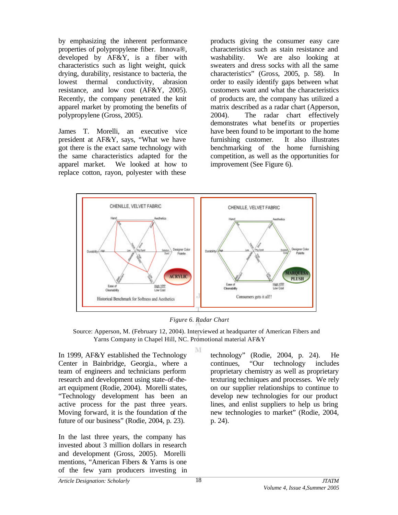by emphasizing the inherent performance properties of polypropylene fiber. Innova®, developed by AF&Y, is a fiber with characteristics such as light weight, quick drying, durability, resistance to bacteria, the lowest thermal conductivity, abrasion resistance, and low cost (AF&Y, 2005). Recently, the company penetrated the knit apparel market by promoting the benefits of polypropylene (Gross, 2005).

James T. Morelli, an executive vice president at AF&Y, says, "What we have got there is the exact same technology with the same characteristics adapted for the apparel market. We looked at how to replace cotton, rayon, polyester with these

products giving the consumer easy care characteristics such as stain resistance and washability. We are also looking at sweaters and dress socks with all the same characteristics" (Gross, 2005, p. 58). In order to easily identify gaps between what customers want and what the characteristics of products are, the company has utilized a matrix described as a radar chart (Apperson, 2004). The radar chart effectively demonstrates what benefits or properties have been found to be important to the home furnishing customer. It also illustrates benchmarking of the home furnishing competition, as well as the opportunities for improvement (See Figure 6).



*Figure 6. Radar Chart*

 Source: Apperson, M. (February 12, 2004). Interviewed at headquarter of American Fibers and Yarns Company in Chapel Hill, NC. Promotional material AF&Y

M

In 1999, AF&Y established the Technology Center in Bainbridge, Georgia., where a team of engineers and technicians perform research and development using state-of-theart equipment (Rodie, 2004). Morelli states, "Technology development has been an active process for the past three years. Moving forward, it is the foundation of the future of our business" (Rodie, 2004, p. 23).

In the last three years, the company has invested about 3 million dollars in research and development (Gross, 2005). Morelli mentions, "American Fibers & Yarns is one of the few yarn producers investing in

technology" (Rodie, 2004, p. 24). He continues, "Our technology includes proprietary chemistry as well as proprietary texturing techniques and processes. We rely on our supplier relationships to continue to develop new technologies for our product lines, and enlist suppliers to help us bring new technologies to market" (Rodie, 2004, p. 24).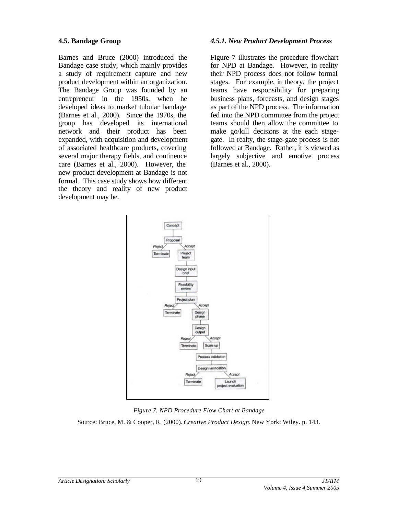#### **4.5. Bandage Group**

Barnes and Bruce (2000) introduced the Bandage case study, which mainly provides a study of requirement capture and new product development within an organization. The Bandage Group was founded by an entrepreneur in the 1950s, when he developed ideas to market tubular bandage (Barnes et al., 2000). Since the 1970s, the group has developed its international network and their product has been expanded, with acquisition and development of associated healthcare products, covering several major therapy fields, and continence care (Barnes et al., 2000). However, the new product development at Bandage is not formal. This case study shows how different the theory and reality of new product development may be.

#### *4.5.1. New Product Development Process*

Figure 7 illustrates the procedure flowchart for NPD at Bandage. However, in reality their NPD process does not follow formal stages. For example, in theory, the project teams have responsibility for preparing business plans, forecasts, and design stages as part of the NPD process. The information fed into the NPD committee from the project teams should then allow the committee to make go/kill decisions at the each stagegate. In realty, the stage-gate process is not followed at Bandage. Rather, it is viewed as largely subjective and emotive process (Barnes et al., 2000).



*Figure 7. NPD Procedure Flow Chart at Bandage*

Source: Bruce, M. & Cooper, R. (2000). *Creative Product Design*. New York: Wiley. p. 143.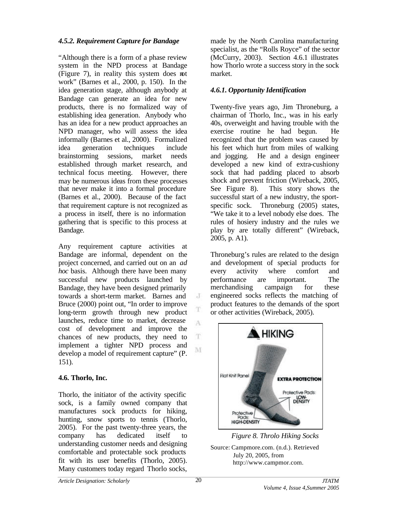### *4.5.2. Requirement Capture for Bandage*

"Although there is a form of a phase review system in the NPD process at Bandage (Figure 7), in reality this system does not work" (Barnes et al., 2000, p. 150). In the idea generation stage, although anybody at Bandage can generate an idea for new products, there is no formalized way of establishing idea generation. Anybody who has an idea for a new product approaches an NPD manager, who will assess the idea informally (Barnes et al., 2000). Formalized idea generation techniques include brainstorming sessions, market needs established through market research, and technical focus meeting. However, there may be numerous ideas from these processes that never make it into a formal procedure (Barnes et al., 2000). Because of the fact that requirement capture is not recognized as a process in itself, there is no information gathering that is specific to this process at Bandage.

Any requirement capture activities at Bandage are informal, dependent on the project concerned, and carried out on an *ad hoc* basis. Although there have been many successful new products launched by Bandage, they have been designed primarily towards a short-term market. Barnes and Bruce (2000) point out, "In order to improve long-term growth through new product launches, reduce time to market, decrease cost of development and improve the chances of new products, they need to implement a tighter NPD process and develop a model of requirement capture" (P. 151).

#### **4.6. Thorlo, Inc.**

Thorlo, the initiator of the activity specific sock, is a family owned company that manufactures sock products for hiking, hunting, snow sports to tennis (Thorlo, 2005). For the past twenty-three years, the company has dedicated itself to understanding customer needs and designing comfortable and protectable sock products fit with its user benefits (Thorlo, 2005). Many customers today regard Thorlo socks,

made by the North Carolina manufacturing specialist, as the "Rolls Royce" of the sector (McCurry, 2003). Section 4.6.1 illustrates how Thorlo wrote a success story in the sock market.

### *4.6.1. Opportunity Identification*

Twenty-five years ago, Jim Throneburg, a chairman of Thorlo, Inc., was in his early 40s, overweight and having trouble with the exercise routine he had begun. He recognized that the problem was caused by his feet which hurt from miles of walking and jogging. He and a design engineer developed a new kind of extra-cushiony sock that had padding placed to absorb shock and prevent friction (Wireback, 2005, See Figure 8). This story shows the successful start of a new industry, the sportspecific sock. Throneburg (2005) states, "We take it to a level nobody else does. The rules of hosiery industry and the rules we play by are totally different" (Wireback, 2005, p. A1).

Throneburg's rules are related to the design and development of special products for every activity where comfort and performance are important. The merchandising campaign for these engineered socks reflects the matching of product features to the demands of the sport or other activities (Wireback, 2005).



*Figure 8. Throlo Hiking Socks* Source: Campmore.com. (n.d.). Retrieved July 20, 2005, from http://www.campmor.com.

J

T

A

 $\mathbf T$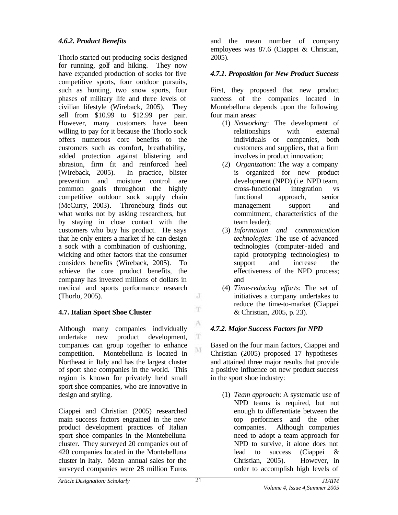# *4.6.2. Product Benefits*

Thorlo started out producing socks designed for running, golf and hiking. They now have expanded production of socks for five competitive sports, four outdoor pursuits, such as hunting, two snow sports, four phases of military life and three levels of civilian lifestyle (Wireback, 2005). They sell from \$10.99 to \$12.99 per pair. However, many customers have been willing to pay for it because the Thorlo sock offers numerous core benefits to the customers such as comfort, breathability, added protection against blistering and abrasion, firm fit and reinforced heel (Wireback, 2005). In practice, blister prevention and moisture control are common goals throughout the highly competitive outdoor sock supply chain (McCurry, 2003). Throneburg finds out what works not by asking researchers, but by staying in close contact with the customers who buy his product. He says that he only enters a market if he can design a sock with a combination of cushioning, wicking and other factors that the consumer considers benefits (Wireback, 2005). To achieve the core product benefits, the company has invested millions of dollars in medical and sports performance research (Thorlo, 2005).

# **4.7. Italian Sport Shoe Cluster**

Although many companies individually undertake new product development, companies can group together to enhance competition. Montebelluna is located in Northeast in Italy and has the largest cluster of sport shoe companies in the world. This region is known for privately held small sport shoe companies, who are innovative in design and styling.

Ciappei and Christian (2005) researched main success factors engrained in the new product development practices of Italian sport shoe companies in the Montebelluna cluster. They surveyed 20 companies out of 420 companies located in the Montebelluna cluster in Italy. Mean annual sales for the surveyed companies were 28 million Euros

and the mean number of company employees was 87.6 (Ciappei & Christian, 2005).

# *4.7.1. Proposition for New Product Success*

First, they proposed that new product success of the companies located in Montebelluna depends upon the following four main areas:

- (1) *Networking*: The development of relationships with external individuals or companies, both customers and suppliers, that a firm involves in product innovation;
- (2) *Organization*: The way a company is organized for new product development (NPD) (i.e. NPD team, cross-functional integration vs functional approach, senior management support and commitment, characteristics of the team leader);
- (3) *Information and communication technologies*: The use of advanced technologies (computer-aided and rapid prototyping technologies) to support and increase the effectiveness of the NPD process; and
- (4) *Time-reducing efforts*: The set of initiatives a company undertakes to reduce the time-to-market (Ciappei & Christian, 2005, p. 23).

# *4.7.2. Major Success Factors for NPD*

Based on the four main factors, Ciappei and Christian (2005) proposed 17 hypotheses and attained three major results that provide a positive influence on new product success in the sport shoe industry:

(1) *Team approach*: A systematic use of NPD teams is required, but not enough to differentiate between the top performers and the other companies. Although companies need to adopt a team approach for NPD to survive, it alone does not lead to success (Ciappei & Christian, 2005). However, in order to accomplish high levels of

J T.

A

 $\mathbf{T}$ M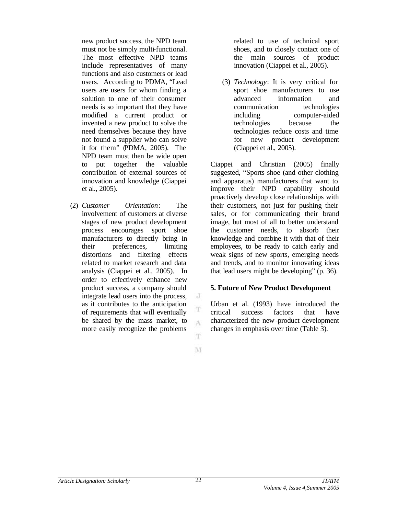new product success, the NPD team must not be simply multi-functional. The most effective NPD teams include representatives of many functions and also customers or lead users. According to PDMA, "Lead users are users for whom finding a solution to one of their consumer needs is so important that they have modified a current product or invented a new product to solve the need themselves because they have not found a supplier who can solve it for them" (PDMA, 2005). The NPD team must then be wide open to put together the valuable contribution of external sources of innovation and knowledge (Ciappei et al., 2005).

(2) *Customer Orientation*: The involvement of customers at diverse stages of new product development process encourages sport shoe manufacturers to directly bring in their preferences, limiting distortions and filtering effects related to market research and data analysis (Ciappei et al., 2005). In order to effectively enhance new product success, a company should integrate lead users into the process, as it contributes to the anticipation of requirements that will eventually be shared by the mass market, to more easily recognize the problems

related to use of technical sport shoes, and to closely contact one of the main sources of product innovation (Ciappei et al., 2005).

(3) *Technology*: It is very critical for sport shoe manufacturers to use advanced information and communication technologies including computer-aided technologies because the technologies reduce costs and time for new product development (Ciappei et al., 2005).

Ciappei and Christian (2005) finally suggested, "Sports shoe (and other clothing and apparatus) manufacturers that want to improve their NPD capability should proactively develop close relationships with their customers, not just for pushing their sales, or for communicating their brand image, but most of all to better understand the customer needs, to absorb their knowledge and combine it with that of their employees, to be ready to catch early and weak signs of new sports, emerging needs and trends, and to monitor innovating ideas that lead users might be developing" (p. 36).

#### **5. Future of New Product Development**

Urban et al. (1993) have introduced the critical success factors that have characterized the new-product development changes in emphasis over time (Table 3).

M

J

T

A

T.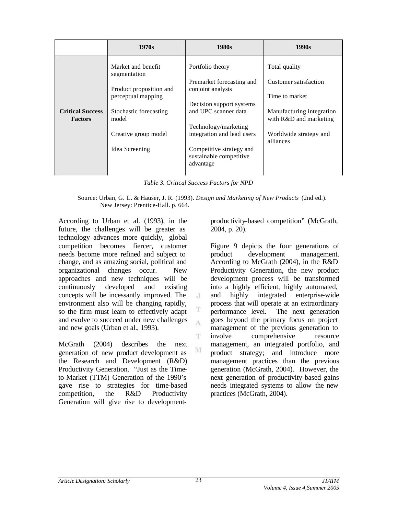|                                           | 1970s                                         | 1980s                                                            | 1990s                                               |
|-------------------------------------------|-----------------------------------------------|------------------------------------------------------------------|-----------------------------------------------------|
|                                           | Market and benefit<br>segmentation            | Portfolio theory                                                 | Total quality                                       |
|                                           | Product proposition and<br>perceptual mapping | Premarket forecasting and<br>conjoint analysis                   | Customer satisfaction<br>Time to market             |
| <b>Critical Success</b><br><b>Factors</b> | Stochastic forecasting<br>model               | Decision support systems<br>and UPC scanner data                 | Manufacturing integration<br>with R&D and marketing |
|                                           | Creative group model                          | Technology/marketing<br>integration and lead users               | Worldwide strategy and<br>alliances                 |
|                                           | Idea Screening                                | Competitive strategy and<br>sustainable competitive<br>advantage |                                                     |
|                                           |                                               |                                                                  |                                                     |

*Table 3. Critical Success Factors for NPD*

 Source: Urban, G. L. & Hauser, J. R. (1993). *Design and Marketing of New Products* (2nd ed.). New Jersey: Prentice-Hall. p. 664.

 $\cdot$ T

T A

T.

M

According to Urban et al. (1993), in the future, the challenges will be greater as technology advances more quickly, global competition becomes fiercer, customer needs become more refined and subject to change, and as amazing social, political and organizational changes occur. New approaches and new techniques will be continuously developed and existing concepts will be incessantly improved. The environment also will be changing rapidly, so the firm must learn to effectively adapt and evolve to succeed under new challenges and new goals (Urban et al., 1993).

McGrath (2004) describes the next generation of new product development as the Research and Development (R&D) Productivity Generation. "Just as the Timeto-Market (TTM) Generation of the 1990's gave rise to strategies for time-based competition, the R&D Productivity Generation will give rise to developmentproductivity-based competition" (McGrath, 2004, p. 20).

Figure 9 depicts the four generations of product development management. According to McGrath (2004), in the R&D Productivity Generation, the new product development process will be transformed into a highly efficient, highly automated, and highly integrated enterprise-wide process that will operate at an extraordinary performance level. The next generation goes beyond the primary focus on project management of the previous generation to involve comprehensive resource management, an integrated portfolio, and product strategy; and introduce more management practices than the previous generation (McGrath, 2004). However, the next generation of productivity-based gains needs integrated systems to allow the new practices (McGrath, 2004).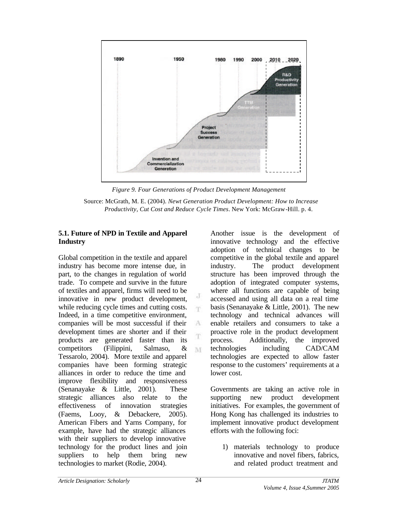

*Figure 9. Four Generations of Product Development Management*

J m

 $\Lambda$ Ŧ

M

#### **5.1. Future of NPD in Textile and Apparel Industry**

Global competition in the textile and apparel industry has become more intense due, in part, to the changes in regulation of world trade. To compete and survive in the future of textiles and apparel, firms will need to be innovative in new product development, while reducing cycle times and cutting costs. Indeed, in a time competitive environment, companies will be most successful if their development times are shorter and if their products are generated faster than its competitors (Filippini, Salmaso, & Tessarolo, 2004). More textile and apparel companies have been forming strategic alliances in order to reduce the time and improve flexibility and responsiveness (Senanayake & Little, 2001). These strategic alliances also relate to the effectiveness of innovation strategies (Faems, Looy, & Debackere, 2005). American Fibers and Yarns Company, for example, have had the strategic alliances with their suppliers to develop innovative technology for the product lines and join suppliers to help them bring new technologies to market (Rodie, 2004).

Another issue is the development of innovative technology and the effective adoption of technical changes to be competitive in the global textile and apparel industry. The product development structure has been improved through the adoption of integrated computer systems, where all functions are capable of being accessed and using all data on a real time basis (Senanayake & Little, 2001). The new technology and technical advances will enable retailers and consumers to take a proactive role in the product development process. Additionally, the improved technologies including CAD/CAM technologies are expected to allow faster response to the customers' requirements at a lower cost.

Governments are taking an active role in supporting new product development initiatives. For examples, the government of Hong Kong has challenged its industries to implement innovative product development efforts with the following foci:

1) materials technology to produce innovative and novel fibers, fabrics, and related product treatment and

Source: McGrath, M. E. (2004). *Newt Generation Product Development: How to Increase Productivity, Cut Cost and Reduce Cycle Times*. New York: McGraw-Hill. p. 4.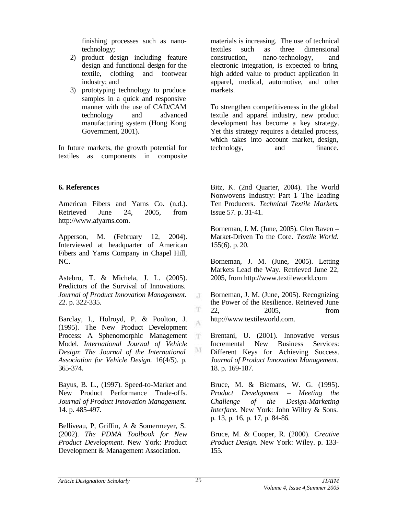finishing processes such as nanotechnology;

- 2) product design including feature design and functional design for the textile, clothing and footwear industry; and
- 3) prototyping technology to produce samples in a quick and responsive manner with the use of CAD/CAM technology and advanced manufacturing system (Hong Kong Government, 2001).

In future markets, the growth potential for textiles as components in composite

**6. References**

American Fibers and Yarns Co. (n.d.). Retrieved June 24, 2005, from http://www.afyarns.com.

Apperson, M. (February 12, 2004). Interviewed at headquarter of American Fibers and Yarns Company in Chapel Hill, NC.

Astebro, T. & Michela, J. L. (2005). Predictors of the Survival of Innovations. *Journal of Product Innovation Management*. 22. p. 322-335.

Barclay, I., Holroyd, P. & Poolton, J. (1995). The New Product Development Process: A Sphenomorphic Management Model. *International Journal of Vehicle Design*: *The Journal of the International Association for Vehicle Design.* 16(4/5). p. 365-374.

Bayus, B. L., (1997). Speed-to-Market and New Product Performance Trade-offs. *Journal of Product Innovation Management*. 14. p. 485-497.

Belliveau, P, Griffin, A & Somermeyer, S. (2002). *The PDMA Toolbook for New Product Development*. New York: Product Development & Management Association.

materials is increasing. The use of technical textiles such as three dimensional construction, nano-technology, and electronic integration, is expected to bring high added value to product application in apparel, medical, automotive, and other markets.

To strengthen competitiveness in the global textile and apparel industry, new product development has become a key strategy. Yet this strategy requires a detailed process, which takes into account market, design, technology, and finance.

Bitz, K. (2nd Quarter, 2004). The World Nonwovens Industry: Part 1- The Leading Ten Producers. *Technical Textile Markets*. Issue 57. p. 31-41.

Borneman, J. M. (June, 2005). Glen Raven – Market-Driven To the Core. *Textile World*. 155(6). p. 20.

Borneman, J. M. (June, 2005). Letting Markets Lead the Way. Retrieved June 22, 2005, from http://www.textileworld.com

Borneman, J. M. (June, 2005). Recognizing the Power of the Resilience. Retrieved June 22, 2005, from http://www.textileworld.com.

Brentani, U. (2001). Innovative versus Incremental New Business Services: Different Keys for Achieving Success. *Journal of Product Innovation Management*. 18. p. 169-187.

Bruce, M. & Biemans, W. G. (1995). *Product Development – Meeting the Challenge of the Design-Marketing Interface*. New York: John Willey & Sons. p. 13, p. 16, p. 17, p. 84-86.

Bruce, M. & Cooper, R. (2000). *Creative Product Design*. New York: Wiley. p. 133- 155.

 $\cdot$ T

T A

T.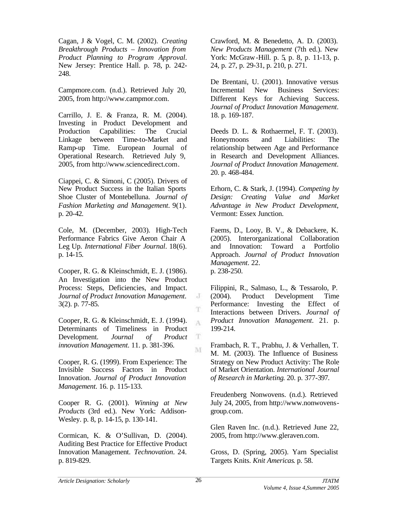Cagan, J & Vogel, C. M. (2002). *Creating Breakthrough Products – Innovation from Product Planning to Program Approval*. New Jersey: Prentice Hall. p. 78, p. 242-248.

Campmore.com. (n.d.). Retrieved July 20, 2005, from http://www.campmor.com.

Carrillo, J. E. & Franza, R. M. (2004). Investing in Product Development and Production Capabilities: The Crucial Linkage between Time-to-Market and Ramp-up Time. European Journal of Operational Research. Retrieved July 9, 2005, from http://www.sciencedirect.com.

Ciappei, C. & Simoni, C (2005). Drivers of New Product Success in the Italian Sports Shoe Cluster of Montebelluna. *Journal of Fashion Marketing and Management*. 9(1). p. 20-42.

Cole, M. (December, 2003). High-Tech Performance Fabrics Give Aeron Chair A Leg Up. *International Fiber Journal*. 18(6). p. 14-15.

Cooper, R. G. & Kleinschmidt, E. J. (1986). An Investigation into the New Product Process: Steps, Deficiencies, and Impact. *Journal of Product Innovation Management*. 3(2). p. 77-85.

Cooper, R. G. & Kleinschmidt, E. J. (1994). Determinants of Timeliness in Product Development. *Journal of Product innovation Management*. 11. p. 381-396.

Cooper, R. G. (1999). From Experience: The Invisible Success Factors in Product Innovation. *Journal of Product Innovation Management*. 16. p. 115-133.

Cooper R. G. (2001). *Winning at New Products* (3rd ed.). New York: Addison-Wesley. p. 8, p. 14-15, p. 130-141.

Cormican, K. & O'Sullivan, D. (2004). Auditing Best Practice for Effective Product Innovation Management. *Technovation*. 24. p. 819-829.

Crawford, M. & Benedetto, A. D. (2003). *New Products Management* (7th ed.). New York: McGraw-Hill. p. 5, p. 8, p. 11-13, p. 24, p. 27, p. 29-31, p. 210, p. 271.

De Brentani, U. (2001). Innovative versus Incremental New Business Services: Different Keys for Achieving Success. *Journal of Product Innovation Management*. 18. p. 169-187.

Deeds D. L. & Rothaermel, F. T. (2003). Honeymoons and Liabilities: The relationship between Age and Performance in Research and Development Alliances. *Journal of Product Innovation Management*. 20. p. 468-484.

Erhorn, C. & Stark, J. (1994). *Competing by Design: Creating Value and Market Advantage in New Product Development*, Vermont: Essex Junction.

Faems, D., Looy, B. V., & Debackere, K. (2005). Interorganizational Collaboration and Innovation: Toward a Portfolio Approach. *Journal of Product Innovation Management*. 22. p. 238-250.

Filippini, R., Salmaso, L., & Tessarolo, P. (2004). Product Development Time Performance: Investing the Effect of Interactions between Drivers. *Journal of Product Innovation Management*. 21. p. 199-214.

Frambach, R. T., Prabhu, J. & Verhallen, T. M. M. (2003). The Influence of Business Strategy on New Product Activity: The Role of Market Orientation. *International Journal of Research in Marketing*. 20. p. 377-397.

Freudenberg Nonwovens. (n.d.). Retrieved July 24, 2005, from http://www.nonwovensgroup.com.

Glen Raven Inc. (n.d.). Retrieved June 22, 2005, from http://www.gleraven.com.

Gross, D. (Spring, 2005). Yarn Specialist Targets Knits. *Knit Americas*. p. 58.

J

T A

 $\mathbf T$ M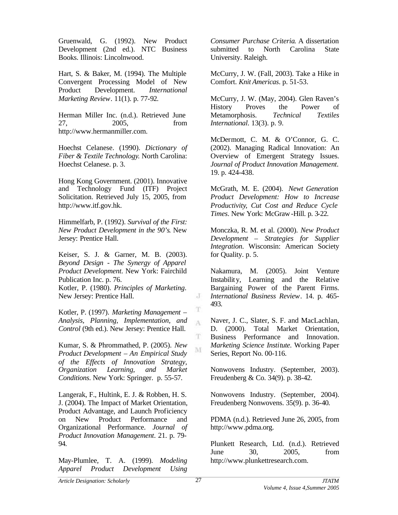Gruenwald, G. (1992). New Product Development (2nd ed.). NTC Business Books. Illinois: Lincolnwood.

Hart, S. & Baker, M. (1994). The Multiple Convergent Processing Model of New Product Development. *International Marketing Review*. 11(1). p. 77-92.

Herman Miller Inc. (n.d.). Retrieved June 27, 2005, from http://www.hermanmiller.com.

Hoechst Celanese. (1990). *Dictionary of Fiber & Textile Technology*. North Carolina: Hoechst Celanese. p. 3.

Hong Kong Government. (2001). Innovative and Technology Fund (ITF) Project Solicitation. Retrieved July 15, 2005, from http://www.itf.gov.hk.

Himmelfarb, P. (1992). *Survival of the First: New Product Development in the 90's*. New Jersey: Prentice Hall.

Keiser, S. J. & Garner, M. B. (2003). *Beyond Design - The Synergy of Apparel Product Development*. New York: Fairchild Publication Inc. p. 76.

Kotler, P. (1980). *Principles of Marketing*. New Jersey: Prentice Hall.

Kotler, P. (1997). *Marketing Management – Analysis, Planning, Implementation, and Control* (9th ed.). New Jersey: Prentice Hall.

Kumar, S. & Phrommathed, P. (2005). *New Product Development – An Empirical Study of the Effects of Innovation Strategy, Organization Learning, and Market Conditions*. New York: Springer. p. 55-57.

Langerak, F., Hultink, E. J. & Robben, H. S. J. (2004). The Impact of Market Orientation, Product Advantage, and Launch Proficiency on New Product Performance and Organizational Performance. *Journal of Product Innovation Management*. 21. p. 79- 94.

May-Plumlee, T. A. (1999). *Modeling Apparel Product Development Using* *Consumer Purchase Criteria*. A dissertation submitted to North Carolina State University. Raleigh.

McCurry, J. W. (Fall, 2003). Take a Hike in Comfort. *Knit Americas*. p. 51-53.

McCurry, J. W. (May, 2004). Glen Raven's History Proves the Power of Metamorphosis. *Technical Textiles International*. 13(3). p. 9.

McDermott, C. M. & O'Connor, G. C. (2002). Managing Radical Innovation: An Overview of Emergent Strategy Issues. *Journal of Product Innovation Management*. 19. p. 424-438.

McGrath, M. E. (2004). *Newt Generation Product Development: How to Increase Productivity, Cut Cost and Reduce Cycle Times*. New York: McGraw-Hill. p. 3-22.

Monczka, R. M. et al. (2000). *New Product Development – Strategies for Supplier Integration*. Wisconsin: American Society for Quality. p. 5.

Nakamura, M. (2005). Joint Venture Instability, Learning and the Relative Bargaining Power of the Parent Firms. *International Business Review*. 14. p. 465- 493.

Naver, J. C., Slater, S. F. and MacLachlan, D. (2000). Total Market Orientation, Business Performance and Innovation. *Marketing Science Institute*. Working Paper Series, Report No. 00-116.

Nonwovens Industry. (September, 2003). Freudenberg & Co. 34(9). p. 38-42.

Nonwovens Industry. (September, 2004). Freudenberg Nonwovens. 35(9). p. 36-40.

PDMA (n.d.). Retrieved June 26, 2005, from http://www.pdma.org.

Plunkett Research, Ltd. (n.d.). Retrieved June 30, 2005, from http://www.plunkettresearch.com.

J

T A

T